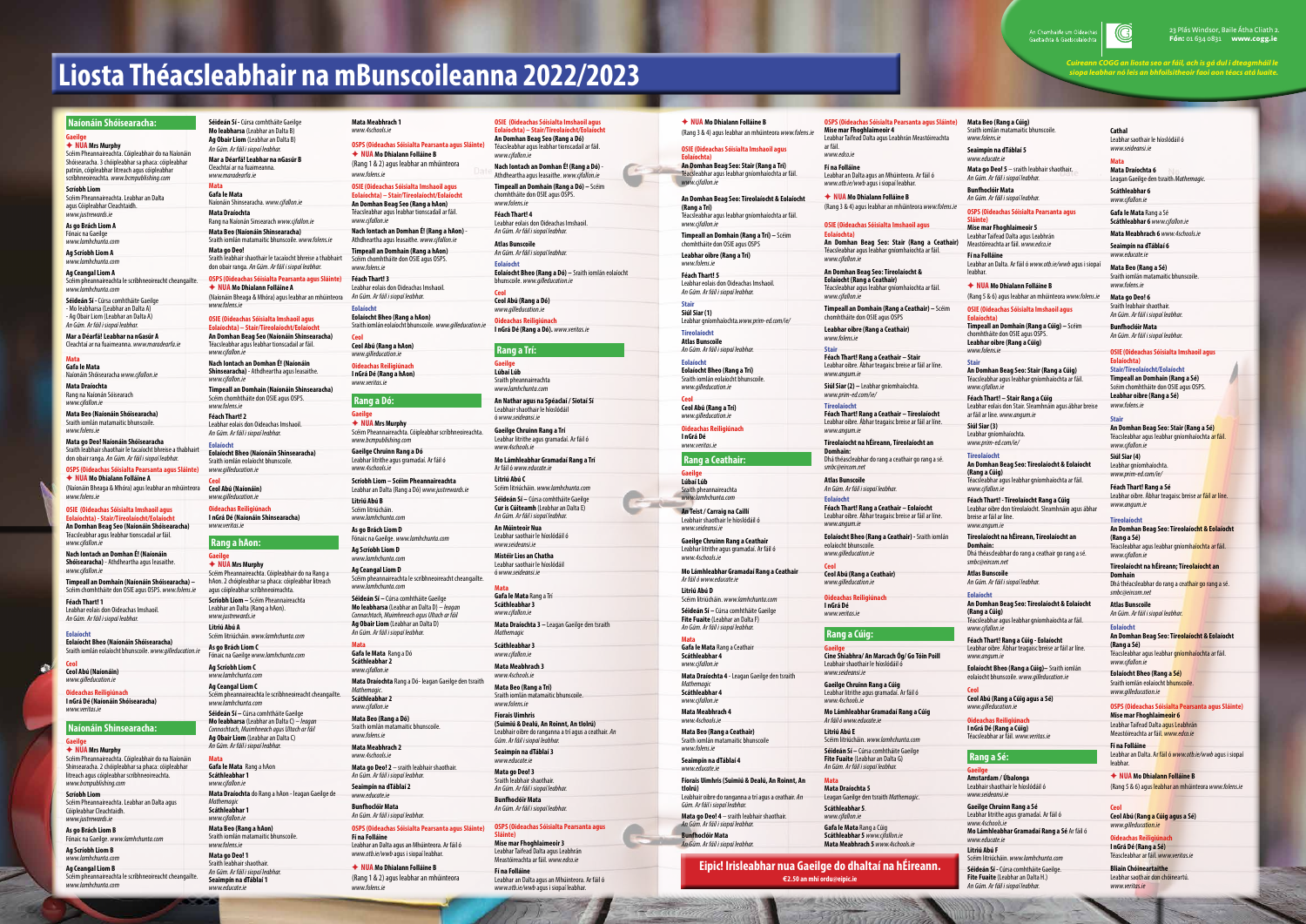# **Liosta Théacsleabhair na mBunscoileanna 2022/2023**

#### **Naíonáin Shóisearacha:**

#### **Gaeilge** F **NUA Mrs Murphy**

Scéim Pheannaireachta. Cóipleabhair do na Naíonáin Shóisearacha. 3 chóipleabhar sa phaca: cóipleabhar patrún, cóipleabhar litreach agus cóipleabhar scríbhneoireachta. *www.bcmpublishing.com*

**Scríobh Liom**

Scéim Pheannaireachta. Leabhar an Dalta agus Cóipleabhar Cleachtaidh. *www.justrewards.ie* 

## **As go Brách Liom A**

Fónaic na Gaeilge *www.lamhchunta.com*

**Ag Scríobh Liom A** *www.lamhchunta.com*

**Ag Ceangal Liom A**

Scéim pheannaireachta le scríbhneoireacht cheangailte. *www.lamhchunta.com*

#### **OSPS (Oideachas Sóisialta Pearsanta agus Sláinte)** ◆ NUA Mo Dhialann Folláine A

**Séideán Sí -** Cúrsa comhtháite Gaeilge - Mo leabharsa (Leabhar an Dalta A) - Ag Obair Liom (Leabhar an Dalta A) *An Gúm. Ar fáil i siopaí leabhar.*

**Mar a Déarfá! Leabhar na nGasúr A** Cleachtaí ar na fuaimeanna. *www.maradearfa.ie*

#### **Mata**

**Gafa le Mata**  Naíonáin Shóisearacha *www.cjfallon.ie*

**Mata Draíochta** Rang na Naíonán Sóisearach *www.cjfallon.ie*

**Mata Beo (Naíonáin Shóisearacha)**  Sraith iomlán matamaitic bhunscoile. *www.folens.ie*

**Mata go Deo! Naíonáin Shóisearacha** Sraith leabhair shaothair le tacaíocht bhreise a thabhairt don obair ranga. *An Gúm. Ar fáil i siopaí leabhar.*

(Naíonáin Bheaga & Mhóra) agus leabhar an mhúinteora *www.folens.ie*

#### **OSIE (Oideachas Sóisialta Imshaoil agus**

**Eolaíochta) - Stair/Tíreolaíocht/Eolaíocht An Domhan Beag Seo (Naíonáin Shóisearacha)** Téacsleabhar agus leabhar tionscadail ar fáil. *www.cjfallon.ie* 

**Nach Iontach an Domhan É! (Naíonáin Shóisearacha)** - Athdheartha agus leasaithe. *www.cjfallon.ie*

**Timpeall an Domhain (Naíonáin Shóisearacha) –** Scéim chomhtháite don OSIE agus OSPS. *www.folens.ie*

**Féach Thart! 1** Leabhar eolais don Oideachas Imshaoil. *An Gúm. Ar fáil i siopaí leabhar.*

**Eolaíocht Eolaíocht Bheo (Naíonáin Shóisearacha)** Sraith iomlán eolaíocht bhunscoile. *www.gilleducation.ie* 

**Ceol Ceol Abú (Naíonáin)**  *www.gilleducation.ie* 

**Oideachas Reiligiúnach I nGrá Dé (Naíonáin Shóisearacha)** *www.veritas.ie*

## **Naíonáin Shinsearacha:**

## **Gaeilge**

F **NUA Mrs Murphy** Scéim Pheannaireachta. Cóipleabhair do na Naíonáin Shinsearacha. 2 chóipleabhar sa phaca: cóipleabhar litreach agus cóipleabhar scríbhneoireachta. *www.bcmpublishing.com*

**Scríobh Liom** Scéim Pheannaireachta. Leabhar an Dalta agus Cóipleabhar Cleachtaidh. *www.justrewards.ie* 

**As go Brách Liom B** Fónaic na Gaeilge. *www.lamhchunta.com*

**Ag Scríobh Liom B**

*www.lamhchunta.com*

**Ag Ceangal Liom B** Scéim pheannaireachta le scríbhneoireacht cheangailte. *www.lamhchunta.com*

**Séideán Sí -** Cúrsa comhtháite Gaeilge **Mo leabharsa** (Leabhar an Dalta B) **Ag Obair Liom** (Leabhar an Dalta B)

*An Gúm. Ar fáil i siopaí leabhar.* **Mar a Déarfá! Leabhar na nGasúr B** Cleachtaí ar na fuaimeanna. *www.maradearfa.ie* 

#### **Mata**

**Gafa le Mata**  Naíonáin Shinsearacha. *www.cjfallon.ie* **Mata Draíochta** Rang na Naíonán Sinsearach *www.cjfallon.ie* **Mata Beo (Naíonáin Shinsearacha)**  Sraith iomlán matamaitic bhunscoile. *www.folens.ie*

**Mata go Deo!** Sraith leabhair shaothair le tacaíocht bhreise a thabhairt

don obair ranga. *An Gúm. Ar fáil i siopaí leabhar.* **OSPS (Oideachas Sóisialta Pearsanta agus Sláinte)**

F **NUA Mo Dhialann Folláine A**

(Naíonáin Bheaga & Mhóra) agus leabhar an mhúinteora *www.folens.ie*

#### **OSIE (Oideachas Sóisialta Imshaoil agus**

**Eolaíochta) – Stair/Tíreolaíocht/Eolaíocht An Domhan Beag Seo (Naíonáin Shinsearacha)** Téacsleabhar agus leabhar tionscadail ar fáil. *www.cjfallon.ie*  **Nach Iontach an Domhan É! (Naíonáin Shinsearacha)** - Athdheartha agus leasaithe. *www.cjfallon.ie* **Timpeall an Domhain (Naíonáin Shinsearacha)**  Scéim chomhtháite don OSIE agus OSPS.

*www.folens.ie* **Féach Thart! 2** Leabhar eolais don Oideachas Imshaoil. *An Gúm. Ar fáil i siopaí leabhar.*

#### **Eolaíocht**

**Eolaíocht Bheo (Naíonáin Shinsearacha)**  Sraith iomlán eolaíocht bhunscoile. *www.gilleducation.ie*

**Ceol Ceol Abú (Naíonáin)** *www.gilleducation.ie* 

**Oideachas Reiligiúnach I nGrá Dé (Naíonáin Shinsearacha)**  *www.veritas.ie*

## **Rang a hAon: Gaeilge**

F **NUA Mrs Murphy** Scéim Pheannaireachta. Cóipleabhair do na Rang a

hAon. 2 chóipleabhar sa phaca: cóipleabhar litreach agus cóipleabhar scríbhneoireachta. **Scríobh Liom –** Scéim Pheannaireachta Leabhar an Dalta (Rang a hAon). *www.justrewards.ie* 

**Litriú Abú A** Scéim litriúcháin. *www.lamhchunta.com*

**As go Brách Liom C** Fónaic na Gaeilge *www.lamhchunta.com* **Ag Scríobh Liom C**

*www.lamhchunta.com* **Ag Ceangal Liom C** Scéim pheannaireachta le scríbhneoireacht cheangailte. *www.lamhchunta.com* **Séideán Sí –** Cúrsa comhtháite Gaeilge **Mo leabharsa** (Leabhar an Dalta C) – *leagan Connachtach, Muimhneach agus Ultach ar fáil* **Ag Obair Liom** (Leabhar an Dalta C) *An Gúm. Ar fáil i siopaí leabhar.*

**Mata Gafa le Mata** Rang a hAon **Scáthleabhar 1** *www.cjfallon.ie* **Mata Draíochta** do Rang a hAon - leagan Gaeilge de *Mathemagic*  **Scáthleabhar 1** *www.cjfallon.ie* **Mata Beo (Rang a hAon)** Sraith iomlán matamaitic bhunscoile. *www.folens.ie* **Mata go Deo! 1**

Sraith leabhair shaothair. *An Gúm. Ar fáil i siopaí leabhar.* **Seaimpín na dTáblaí 1** *www.educate.ie*

**Mata Meabhrach 1** *www.4schools.ie*

**OSPS (Oideachas Sóisialta Pearsanta agus Sláinte)** F **NUA Mo Dhialann Folláine B** (Rang 1 & 2) agus leabhar an mhúinteora

*www.folens.ie*

#### **OSIE (Oideachas Sóisialta Imshaoil agus Eolaíochta) – Stair/Tíreolaíocht/Eolaíocht An Domhan Beag Seo (Rang a hAon)**

Téacsleabhar agus leabhar tionscadail ar fáil. *www.cjfallon.ie*  **Nach Iontach an Domhan É! (Rang a hAon)** - Athdheartha agus leasaithe. *www.cjfallon.ie* **Timpeall an Domhain (Rang a hAon)** 

Scéim chomhtháite don OSIE agus OSPS. *www.folens.ie*

**Féach Thart! 3** Leabhar eolais don Oideachas Imshaoil. *An Gúm. Ar fáil i siopaí leabhar.*

**Eolaíocht Eolaíocht Bheo (Rang a hAon)** Sraith iomlán eolaíocht bhunscoile. *www.gilleducation.ie* 

**Ceol Ceol Abú (Rang a hAon)** *www.gilleducation.ie*  **Oideachas Reiligiúnach**

**I nGrá Dé (Rang a hAon)** *www.veritas.ie*

## **Rang a Dó: Gaeilge**

F **NUA Mrs Murphy** Scéim Pheannaireachta. Cóipleabhar scríbhneoireachta. *www.bcmpublishing.com* **Gaeilge Chruinn Rang a Dó** Leabhar litrithe agus gramadaí. Ar fáil ó

*www.4schools.ie* **Scríobh Liom – Scéim Pheannaireachta** Leabhar an Dalta (Rang a Dó) *www.justrewards.ie* 

**Litriú Abú B** Scéim litriúcháin.

*www.lamhchunta.com* **As go Brách Liom D**

Fónaic na Gaeilge. *www.lamhchunta.com* **Ag Scríobh Liom D** *www.lamhchunta.com*

**Ag Ceangal Liom D**

Scéim pheannaireachta le scríbhneoireacht cheangailte. *www.lamhchunta.com* **Séideán Sí –** Cúrsa comhtháite Gaeilge **Mo leabharsa** (Leabhar an Dalta D) – *leagan* 

*Connachtach, Muimhneach agus Ultach ar fáil* **Ag Obair Liom** (Leabhar an Dalta D) *An Gúm. Ar fáil i siopaí leabhar.*

**Mata Gafa le Mata** Rang a Dó **Scáthleabhar 2** *www.cjfallon.ie*

**Mata Draíochta** Rang a Dó- leagan Gaeilge den tsraith *Mathemagic*. **Scáthleabhar 2**  *www.cjfallon.ie* **Mata Beo (Rang a Dó)**  Sraith iomlán matamaitic bhunscoile. *www.folens.ie*

**Mata Meabhrach 2** *www.4schools.ie* **Mata go Deo! 2** – sraith leabhair shaothair. *An Gúm. Ar fáil i siopaí leabhar.*

**Seaimpín na dTáblaí 2** *www.educate.ie* **Bunfhoclóir Mata** *An Gúm. Ar fáil i siopaí leabhar.* ◆ NUA Mo Dhialann Folláine B (Rang 5 & 6) agus leabhar an mhúinteora *www.folens.ie*

**OSPS (Oideachas Sóisialta Pearsanta agus Sláinte) Fí na Folláine** Leabhar an Dalta agus an Mhúinteora. Ar fáil ó

*www.otb.ie/wwb* agus i siopaí leabhar.

## ◆ NUA Mo Dhialann Folláine B

(Rang 1 & 2) agus leabhar an mhúinteora *www.folens.ie*

#### **OSIE (Oideachas Sóisialta Imshaoil agus Eolaíochta) – Stair/Tíreolaíocht/Eolaíocht An Domhan Beag Seo (Rang a Dó)**

Téacsleabhar agus leabhar tionscadail ar fáil. *www.cjfallon.ie* 

**Nach Iontach an Domhan É! (Rang a Dó)** - Athdheartha agus leasaithe. *www.cjfallon.ie* **Timpeall an Domhain (Rang a Dó) –** Scéim chomhtháite don OSIE agus OSPS.

*www.folens.ie* **Féach Thart! 4** Leabhar eolais don Oideachas Imshaoil. *An Gúm. Ar fáil i siopaí leabhar.*

**Atlas Bunscoile** *An Gúm. Ar fáil i siopaí leabhar.*

**Eolaíocht Eolaíocht Bheo (Rang a Dó) –** Sraith iomlán eolaíocht bhunscoile. *www.gilleducation.ie* 

**Ceol Ceol Abú (Rang a Dó)** *www.gilleducation.ie*  **Oideachas Reiligiúnach**

**I nGrá Dé (Rang a Dó).** *www.veritas.ie*

## **Rang a Trí:**

**Gaeilge Lúbaí Lúb** Sraith pheannaireachta *www.lamhchunta.com*

**An Nathar agus na Spéaclaí / Siotaí Sí** Leabhair shaothair le híoslódáil ó *www.seideansi.ie*

**Gaeilge Chruinn Rang a Trí** Leabhar litrithe agus gramadaí. Ar fáil ó *www.4schools.ie*

**Mo Lámhleabhar Gramadaí Rang a Trí** Ar fáil ó *www.educate.ie* 

**Litriú Abú C**

Scéim litriúcháin. *www.lamhchunta.com* **Séideán Sí –** Cúrsa comhtháite Gaeilge **Cur is Cúiteamh** (Leabhar an Dalta E) *An Gúm. Ar fáil i siopaí leabhar.*

Gaeltachta & Gaelscolaíoc



**An Múinteoir Nua**  Leabhar saothair le híoslódáil ó

*www.seideansi.ie* **Mistéir Lios an Chatha**  Leabhar saothair le híoslódáil ó *www.seideansi.ie*

**Mata**

**Gafa le Mata** Rang a Trí **Scáthleabhar 3** *www.cjfallon.ie*

**Mata Draíochta 3 –** Leagan Gaeilge den tsraith

*Mathemagic*  **Scáthleabhar 3** *www.cjfallon.ie*  **Mata Meabhrach 3**  *www.4schools.ie*  **Mata Beo (Rang a Trí)**

Sraith iomlán matamaitic bhunscoile.

*www.folens.ie* **Fíorais Uimhris** 

**(Suimiú & Dealú, An Roinnt, An tIolrú)**  Leabhair oibre do ranganna a trí agus a ceathair. *An* 

*Gúm. Ar fáil i siopaí leabhar.* **Seaimpín na dTáblaí 3** *www.educate.ie* **Mata go Deo! 3** Sraith leabhair shaothair. *An Gúm. Ar fáil i siopaí leabhar.*

**Bunfhoclóir Mata** *An Gúm. Ar fáil i siopaí leabhar.*

**OSPS (Oideachas Sóisialta Pearsanta agus**

**Sláinte)**

**Mise mar Fhoghlaimeoir 3** Leabhar Taifead Dalta agus Leabhrán Meastóireachta ar fáil. *www.edco.ie*

**Fí na Folláine**

Leabhar an Dalta agus an Mhúinteora. Ar fáil ó *www.otb.ie/wwb* agus i siopaí leabhar.

## F **NUA Mo Dhialann Folláine B** (Rang 3 & 4) agus leabhar an mhúinteora *www.folens.ie*

**OSIE (Oideachas Sóisialta Imshaoil agus**

**Eolaíochta) An Domhan Beag Seo: Stair (Rang a Trí)** Téacsleabhar agus leabhar gníomhaíochta ar fáil. *www.cjfallon.ie*

#### **An Domhan Beag Seo: Tíreolaíocht & Eolaíocht (Rang a Trí)**

Téacsleabhar agus leabhar gníomhaíochta ar fáil. *www.cjfallon.ie*

**Timpeall an Domhain (Rang a Trí) –** Scéim chomhtháite don OSIE agus OSPS

**Leabhar oibre (Rang a Trí)** *www.folens.ie* **Féach Thart! 5**

Leabhar eolais don Oideachas Imshaoil. *An Gúm. Ar fáil i siopaí leabhar.*

**Stair**

**Siúl Siar (1)**  Leabhar gníomhaíochta.*www.prim-ed.com/ie/*

**Tíreolaíocht Atlas Bunscoile** *An Gúm. Ar fáil i siopaí leabhar.*

**Eolaíocht Eolaíocht Bheo (Rang a Trí)** Sraith iomlán eolaíocht bhunscoile. *www.gilleducation.ie* 

**Ceol**

**Ceol Abú (Rang a Trí)** *www.gilleducation.ie* 

**Oideachas Reiligiúnach I nGrá Dé**

*www.veritas.ie* **Rang a Ceathair:**

**Gaeilge Lúbaí Lúb** Sraith pheannaireachta

*www.lamhchunta.com* **An Teist / Carraig na Caillí** Leabhair shaothair le híoslódáil ó *www.seideansi.ie*

**Gaeilge Chruinn Rang a Ceathair** Leabhar litrithe agus gramadaí. Ar fáil ó *www.4schools.ie*

**Mo Lámhleabhar Gramadaí Rang a Ceathair** *Ar fáil ó www.educate.ie* 

**Litriú Abú D** Scéim litriúcháin. *www.lamhchunta.com* **Séideán Sí –** Cúrsa comhtháite Gaeilge **Fite Fuaite** (Leabhar an Dalta F) *An Gúm. Ar fáil i siopaí leabhar.*

**Mata**

**Gafa le Mata** Rang a Ceathair **Scáthleabhar 4**

*www.cjfallon.ie* **Mata Draíochta 4** - Leagan Gaeilge den tsraith

*Mathemagic*  **Scáthleabhar 4** *www.cjfallon.ie* **Mata Meabhrach 4**  *www.4schools.ie* **Mata Beo (Rang a Ceathair)**

Sraith iomlán matamaitic bhunscoile *www.folens.ie* **Seaimpín na dTáblaí 4**

*www.educate.ie*

**Fíorais Uimhris (Suimiú & Dealú, An Roinnt, An tIolrú)** Leabhair oibre do ranganna a trí agus a ceathair. *An Gúm. Ar fáil i siopaí leabhar.* **Mata go Deo! 4** – sraith leabhair shaothair. *An Gúm. Ar fáil i siopaí leabhar.* **Bunfhoclóir Mata**

*An Gúm. Ar fáil i siopaí leabhar.*

**OSPS (Oideachas Sóisialta Pearsanta agus Sláinte) Mise mar Fhoghlaimeoir 4**

Leabhar Taifead Dalta agus Leabhrán Meastóireachta ar fáil. *www.edco.ie*

**Fí na Folláine** Leabhar an Dalta agus an Mhúinteora. Ar fáil ó *www.otb.ie/wwb* agus i siopaí leabhar.

F **NUA Mo Dhialann Folláine B** (Rang 3 & 4) agus leabhar an mhúinteora *www.folens.ie*

## **OSIE (Oideachas Sóisialta Imshaoil agus Eolaíochta)**

**An Domhan Beag Seo: Stair (Rang a Ceathair)** Téacsleabhar agus leabhar gníomhaíochta ar fáil. *www.cjfallon.ie*

**An Domhan Beag Seo: Tíreolaíocht & Eolaíocht (Rang a Ceathair)** Téacsleabhar agus leabhar gníomhaíochta ar fáil. *www.cjfallon.ie*

**Timpeall an Domhain (Rang a Ceathair) –** Scéim chomhtháite don OSIE agus OSPS

**Leabhar oibre (Rang a Ceathair)** *www.folens.ie* **Stair Féach Thart! Rang a Ceathair – Stair** Leabhar oibre. Ábhar teagaisc breise ar fáil ar líne.

*www.angum.ie* **Siúl Siar (2) –** Leabhar gníomhaíochta.

*www.prim-ed.com/ie/* **Tíreolaíocht**

**Féach Thart! Rang a Ceathair – Tíreolaíocht** Leabhar oibre. Ábhar teagaisc breise ar fáil ar líne.

*www.angum.ie* **Tíreolaíocht na hÉireann, Tíreolaíocht an Domhain:** 

Dhá théascleabhar do rang a ceathair go rang a sé. *smbc@eircom.net*

**Atlas Bunscoile** *An Gúm. Ar fáil i siopaí leabhar.*

**Eolaíocht Féach Thart! Rang a Ceathair – Eolaíocht** Leabhar oibre. Ábhar teagaisc breise ar fáil ar líne. *www.angum.ie*

**Eolaíocht Bheo (Rang a Ceathair) -** Sraith iomlán eolaíocht bhunscoile. *www.gilleducation.ie*

**Ceol Ceol Abú (Rang a Ceathair)** *www.gilleducation.ie* 

**Oideachas Reiligiúnach I nGrá Dé**

*www.veritas.ie*

## **Rang a Cúig:**

**Gaeilge Cine Shiabhra/ An Marcach Óg/ Go Tóin Poill** Leabhair shaothair le híoslódáil ó

*www.seideansi.ie*

**Gaeilge Chruinn Rang a Cúig** Leabhar litrithe agus gramadaí. Ar fáil ó *www.4schools.ie*

**Mo Lámhleabhar Gramadaí Rang a Cúig** *Ar fáil ó www.educate.ie*  **Litriú Abú E**

Scéim litriúcháin. *www.lamhchunta.com* **Séideán Sí –** Cúrsa comhtháite Gaeilge **Fite Fuaite** (Leabhar an Dalta G) *An Gúm. Ar fáil i siopaí leabhar.*

**Mata Mata Draíochta 5**  Leagan Gaeilge den tsraith *Mathemagic*. **Scáthleabhar 5**. *www.cjfallon.ie* **Gafa le Mata** Rang a Cúig

**Scáthleabhar 5** *www.cjfallon.ie* **Mata Meabhrach 5** *www.4schools.ie* **Mata Beo (Rang a Cúig)**  Sraith iomlán matamaitic bhunscoile. *www.folens.ie*

**Seaimpín na dTáblaí 5** *www.educate.ie* **Mata go Deo! 5** – sraith leabhair shaothair.

*An Gúm. Ar fáil i siopaí leabhar.* **Bunfhoclóir Mata**

*An Gúm. Ar fáil i siopaí leabhar.*

**OSPS (Oideachas Sóisialta Pearsanta agus Sláinte)**

**Mise mar Fhoghlaimeoir 5** Leabhar Taifead Dalta agus Leabhrán Meastóireachta ar fáil. *www.edco.ie* **Fí na Folláine** Leabhar an Dalta. Ar fáil ó *www.otb.ie/wwb* agus i siopaí

leabhar.

**OSIE (Oideachas Sóisialta Imshaoil agus Eolaíochta)**

**Timpeall an Domhain (Rang a Cúig) –** Scéim chomhtháite don OSIE agus OSPS. **Leabhar oibre (Rang a Cúig)** *www.folens.ie*

**Stair An Domhan Beag Seo: Stair (Rang a Cúig)** Téacsleabhar agus leabhar gníomhaíochta ar fáil. *www.cjfallon.ie*

**Féach Thart! – Stair Rang a Cúig** Leabhar eolais don Stair. Sleamhnáin agus ábhar breise ar fáil ar líne. *www.angum.ie*

**Siúl Siar (3)** Leabhar gníomhaíochta. *www.prim-ed.com/ie/*

**Tíreolaíocht**

**An Domhan Beag Seo: Tíreolaíocht & Eolaíocht (Rang a Cúig)** Téacsleabhar agus leabhar gníomhaíochta ar fáil.

*www.cjfallon.ie*

**Féach Thart! - Tíreolaíocht Rang a Cúig** Leabhar oibre don tíreolaíocht. Sleamhnáin agus ábhar breise ar fáil ar líne. *www.angum.ie*

**Tíreolaíocht na hÉireann, Tíreolaíocht an Domhain:** 

Dhá théascleabhar do rang a ceathair go rang a sé. *smbc@eircom.net*

**Atlas Bunscoile** *An Gúm. Ar fáil i siopaí leabhar.*

**Eolaíocht An Domhan Beag Seo: Tíreolaíocht & Eolaíocht (Rang a Cúig)** Téacsleabhar agus leabhar gníomhaíochta ar fáil. *www.cjfallon.ie*

**Féach Thart! Rang a Cúig - Eolaíocht** Leabhar oibre. Ábhar teagaisc breise ar fáil ar líne. *www.angum.ie* 

**Eolaíocht Bheo (Rang a Cúig)–** Sraith iomlán eolaíocht bhunscoile. *www.gilleducation.ie* 

**Ceol Ceol Abú (Rang a Cúig agus a Sé)** *www.gilleducation.ie* 

**Oideachas Reiligiúnach I nGrá Dé (Rang a Cúig)** Téacsleabhar ar fáil. *www.veritas.ie* 

## **Rang a Sé:**

**Gaeilge Amstardam / Úbalonga** Leabhair shaothair le híoslódáil ó *www.seideansi.ie*

**Gaeilge Chruinn Rang a Sé**  Leabhar litrithe agus gramadaí. Ar fáil ó *www.4schools.ie*  **Mo Lámhleabhar Gramadaí Rang a Sé** Ar fáil ó *www.educate.ie* **Litriú Abú F**

Scéim litriúcháin. *www.lamhchunta.com* **Séideán Sí -** Cúrsa comhtháite Gaeilge. **Fite Fuaite** (Leabhar an Dalta H.) *An Gúm. Ar fáil i siopaí leabhar.*

**Cathal** Leabhar saothair le híoslódáil ó *www.seideansi.ie*

**Mata Mata Draíochta 6**  Leagan Gaeilge den tsraith *Mathemagic.* **Scáthleabhar 6** *www.cjfallon.ie*

**Gafa le Mata** Rang a Sé **Scáthleabhar 6** *www.cjfallon.ie*

**Mata Meabhrach 6** *www.4schools.ie* **Seaimpín na dTáblaí 6**

*www.educate.ie* **Mata Beo (Rang a Sé)** Sraith iomlán matamaitic bhunscoile. *www.folens.ie*

**Mata go Deo! 6** Sraith leabhair shaothair. *An Gúm. Ar fáil i siopaí leabhar.*

**Bunfhoclóir Mata** *An Gúm. Ar fáil i siopaí leabhar.*

**OSIE (Oideachas Sóisialta Imshaoil agus Eolaíochta) Stair/Tíreolaíocht/Eolaíocht**

**Timpeall an Domhain (Rang a Sé)** Scéim chomhtháite don OSIE agus OSPS. **Leabhar oibre (Rang a Sé)** *www.folens.ie*

**Stair An Domhan Beag Seo: Stair (Rang a Sé)** Téacsleabhar agus leabhar gníomhaíochta ar fáil. *www.cjfallon.ie*

**Siúl Siar (4)** Leabhar gníomhaíochta. *www.prim-ed.com/ie/*

**Féach Thart! Rang a Sé** Leabhar oibre. Ábhar teagaisc breise ar fáil ar líne. *www.angum.ie*

**Tíreolaíocht An Domhan Beag Seo: Tíreolaíocht & Eolaíocht (Rang a Sé)** Téacsleabhar agus leabhar gníomhaíochta ar fáil. *www.cjfallon.ie*

**Tíreolaíocht na hÉireann; Tíreolaíocht an Domhain** Dhá théacsleabhar do rang a ceathair go rang a sé.

*smbc@eircom.net* **Atlas Bunscoile** *An Gúm. Ar fáil i siopaí leabhar.*

**Eolaíocht**

**An Domhan Beag Seo: Tíreolaíocht & Eolaíocht** 

**(Rang a Sé)**

Téacsleabhar agus leabhar gníomhaíochta ar fáil.

*www.cjfallon.ie*

**Eolaíocht Bheo (Rang a Sé)**  Sraith iomlán eolaíocht bhunscoile.

*www.gilleducation.ie* 

**OSPS (Oideachas Sóisialta Pearsanta agus Sláinte)**

**Mise mar Fhoghlaimeoir 6** Leabhar Taifead Dalta agus Leabhrán Meastóireachta ar fáil. *www.edco.ie*

**Fí na Folláine**

Leabhar an Dalta. Ar fáil ó *www.otb.ie/wwb* agus i siopaí

leabhar.

F **NUA Mo Dhialann Folláine B**

(Rang 5 & 6) agus leabhar an mhúinteora *www.folens.ie*

**Ceol**

**Ceol Abú (Rang a Cúig agus a Sé)**

*www.gilleducation.ie*  **Oideachas Reiligiúnach I nGrá Dé (Rang a Sé)** Téascleabhar ar fáil. *www.veritas.ie* 

**Bliain Chóineartaithe** Leabhar saothair don chóineartú.

*www.veritas.ie*

23 Plás Windsor, Baile Átha Cliath 2. Fón: 01 634 0831 www.cogg.ie

**Eipic! Irisleabhar nua Gaeilge do dhaltaí na hÉireann. €2.50 an mhí ordu@eipic.ie**

*Cuireann COGG an liosta seo ar fáil, ach is gá dul i dteagmháil le siopa leabhar nó leis an bhfoilsitheoir faoi aon téacs atá luaite.*